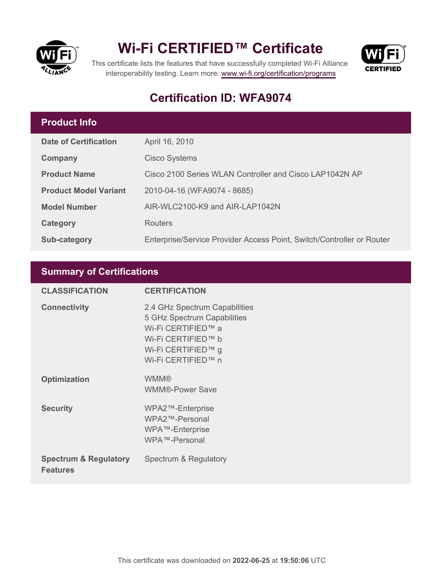

## **Wi-Fi CERTIFIED™ Certificate**



This certificate lists the features that have successfully completed Wi-Fi Alliance interoperability testing. Learn more:<www.wi-fi.org/certification/programs>

### **Certification ID: WFA9074**

#### **Product Info**

| <b>Date of Certification</b> | April 16, 2010                                                        |
|------------------------------|-----------------------------------------------------------------------|
| Company                      | <b>Cisco Systems</b>                                                  |
| <b>Product Name</b>          | Cisco 2100 Series WLAN Controller and Cisco LAP1042N AP               |
| <b>Product Model Variant</b> | 2010-04-16 (WFA9074 - 8685)                                           |
| <b>Model Number</b>          | AIR-WLC2100-K9 and AIR-LAP1042N                                       |
| Category                     | <b>Routers</b>                                                        |
| Sub-category                 | Enterprise/Service Provider Access Point, Switch/Controller or Router |

#### **Summary of Certifications**

| <b>CLASSIFICATION</b>                               | <b>CERTIFICATION</b>                                                                                                                                 |
|-----------------------------------------------------|------------------------------------------------------------------------------------------------------------------------------------------------------|
| <b>Connectivity</b>                                 | 2.4 GHz Spectrum Capabilities<br>5 GHz Spectrum Capabilities<br>Wi-Fi CERTIFIED™ a<br>Wi-Fi CERTIFIED™ b<br>Wi-Fi CERTIFIED™ g<br>Wi-Fi CERTIFIED™ n |
| <b>Optimization</b>                                 | <b>WMM®</b><br><b>WMM®-Power Save</b>                                                                                                                |
| <b>Security</b>                                     | WPA2™-Enterprise<br>WPA2™-Personal<br>WPA™-Enterprise<br>WPA™-Personal                                                                               |
| <b>Spectrum &amp; Regulatory</b><br><b>Features</b> | Spectrum & Regulatory                                                                                                                                |